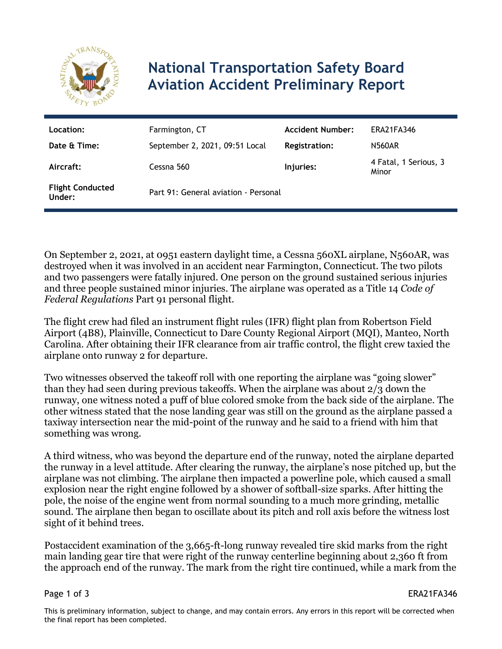

## **National Transportation Safety Board Aviation Accident Preliminary Report**

| Location:                         | Farmington, CT                       | <b>Accident Number:</b> | <b>ERA21FA346</b>              |
|-----------------------------------|--------------------------------------|-------------------------|--------------------------------|
| Date & Time:                      | September 2, 2021, 09:51 Local       | <b>Registration:</b>    | <b>N560AR</b>                  |
| Aircraft:                         | Cessna 560                           | Injuries:               | 4 Fatal, 1 Serious, 3<br>Minor |
| <b>Flight Conducted</b><br>Under: | Part 91: General aviation - Personal |                         |                                |

On September 2, 2021, at 0951 eastern daylight time, a Cessna 560XL airplane, N560AR, was destroyed when it was involved in an accident near Farmington, Connecticut. The two pilots and two passengers were fatally injured. One person on the ground sustained serious injuries and three people sustained minor injuries. The airplane was operated as a Title 14 *Code of Federal Regulations* Part 91 personal flight.

The flight crew had filed an instrument flight rules (IFR) flight plan from Robertson Field Airport (4B8), Plainville, Connecticut to Dare County Regional Airport (MQI), Manteo, North Carolina. After obtaining their IFR clearance from air traffic control, the flight crew taxied the airplane onto runway 2 for departure.

Two witnesses observed the takeoff roll with one reporting the airplane was "going slower" than they had seen during previous takeoffs. When the airplane was about  $2/3$  down the runway, one witness noted a puff of blue colored smoke from the back side of the airplane. The other witness stated that the nose landing gear was still on the ground as the airplane passed a taxiway intersection near the mid-point of the runway and he said to a friend with him that something was wrong.

A third witness, who was beyond the departure end of the runway, noted the airplane departed the runway in a level attitude. After clearing the runway, the airplane's nose pitched up, but the airplane was not climbing. The airplane then impacted a powerline pole, which caused a small explosion near the right engine followed by a shower of softball-size sparks. After hitting the pole, the noise of the engine went from normal sounding to a much more grinding, metallic sound. The airplane then began to oscillate about its pitch and roll axis before the witness lost sight of it behind trees.

Postaccident examination of the 3,665-ft-long runway revealed tire skid marks from the right main landing gear tire that were right of the runway centerline beginning about 2,360 ft from the approach end of the runway. The mark from the right tire continued, while a mark from the

Page 1 of 3 ERA21FA346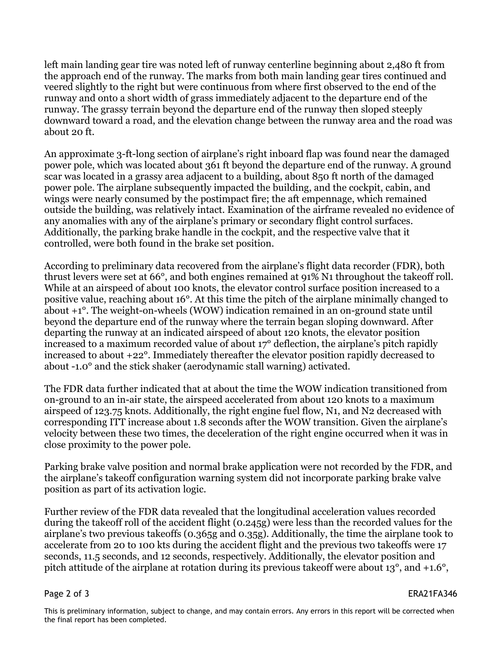left main landing gear tire was noted left of runway centerline beginning about 2,480 ft from the approach end of the runway. The marks from both main landing gear tires continued and veered slightly to the right but were continuous from where first observed to the end of the runway and onto a short width of grass immediately adjacent to the departure end of the runway. The grassy terrain beyond the departure end of the runway then sloped steeply downward toward a road, and the elevation change between the runway area and the road was about 20 ft.

An approximate 3-ft-long section of airplane's right inboard flap was found near the damaged power pole, which was located about 361 ft beyond the departure end of the runway. A ground scar was located in a grassy area adjacent to a building, about 850 ft north of the damaged power pole. The airplane subsequently impacted the building, and the cockpit, cabin, and wings were nearly consumed by the postimpact fire; the aft empennage, which remained outside the building, was relatively intact. Examination of the airframe revealed no evidence of any anomalies with any of the airplane's primary or secondary flight control surfaces. Additionally, the parking brake handle in the cockpit, and the respective valve that it controlled, were both found in the brake set position.

According to preliminary data recovered from the airplane's flight data recorder (FDR), both thrust levers were set at 66°, and both engines remained at 91% N1 throughout the takeoff roll. While at an airspeed of about 100 knots, the elevator control surface position increased to a positive value, reaching about 16°. At this time the pitch of the airplane minimally changed to about +1°. The weight-on-wheels (WOW) indication remained in an on-ground state until beyond the departure end of the runway where the terrain began sloping downward. After departing the runway at an indicated airspeed of about 120 knots, the elevator position increased to a maximum recorded value of about 17° deflection, the airplane's pitch rapidly increased to about +22°. Immediately thereafter the elevator position rapidly decreased to about -1.0° and the stick shaker (aerodynamic stall warning) activated.

The FDR data further indicated that at about the time the WOW indication transitioned from on-ground to an in-air state, the airspeed accelerated from about 120 knots to a maximum airspeed of 123.75 knots. Additionally, the right engine fuel flow, N1, and N2 decreased with corresponding ITT increase about 1.8 seconds after the WOW transition. Given the airplane's velocity between these two times, the deceleration of the right engine occurred when it was in close proximity to the power pole.

Parking brake valve position and normal brake application were not recorded by the FDR, and the airplane's takeoff configuration warning system did not incorporate parking brake valve position as part of its activation logic.

Further review of the FDR data revealed that the longitudinal acceleration values recorded during the takeoff roll of the accident flight (0.245g) were less than the recorded values for the airplane's two previous takeoffs (0.365g and 0.35g). Additionally, the time the airplane took to accelerate from 20 to 100 kts during the accident flight and the previous two takeoffs were 17 seconds, 11.5 seconds, and 12 seconds, respectively. Additionally, the elevator position and pitch attitude of the airplane at rotation during its previous takeoff were about 13°, and +1.6°,

Page 2 of 3 ERA21FA346